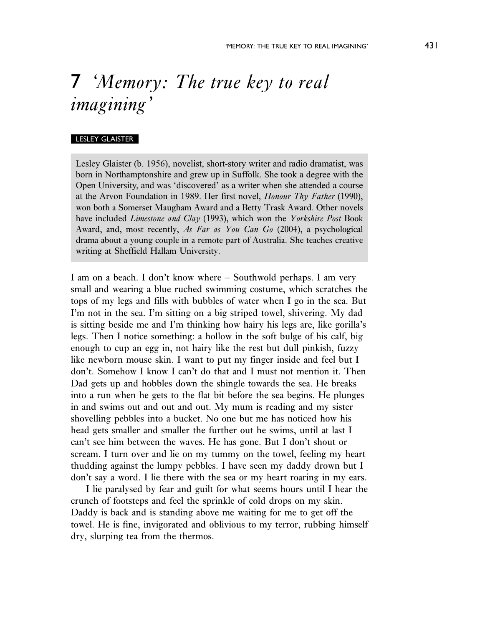## 7 'Memory: The true key to real imagining'

## LESLEY GLAISTER

Open University, and was 'discovered' as a writer when she attended a course at the Arvon Foundation in 1989. Her first novel, *Honour Thy Father* (1990), have included *Limestone and Clay* (1993), which won the *Yorkshire Post* Book Lesley Glaister (b. 1956), novelist, short-story writer and radio dramatist, was born in Northamptonshire and grew up in Suffolk. She took a degree with the won both a Somerset Maugham Award and a Betty Trask Award. Other novels Award, and, most recently, As Far as You Can Go (2004), a psychological drama about a young couple in a remote part of Australia. She teaches creative writing at Sheffield Hallam University.

I am on a beach. I don't know where – Southwold perhaps. I am very small and wearing a blue ruched swimming costume, which scratches the tops of my legs and fills with bubbles of water when I go in the sea. But I'm not in the sea. I'm sitting on a big striped towel, shivering. My dad is sitting beside me and I'm thinking how hairy his legs are, like gorilla's legs. Then I notice something: a hollow in the soft bulge of his calf, big enough to cup an egg in, not hairy like the rest but dull pinkish, fuzzy like newborn mouse skin. I want to put my finger inside and feel but I don't. Somehow I know I can't do that and I must not mention it. Then Dad gets up and hobbles down the shingle towards the sea. He breaks into a run when he gets to the flat bit before the sea begins. He plunges in and swims out and out and out. My mum is reading and my sister shovelling pebbles into a bucket. No one but me has noticed how his head gets smaller and smaller the further out he swims, until at last I can't see him between the waves. He has gone. But I don't shout or scream. I turn over and lie on my tummy on the towel, feeling my heart thudding against the lumpy pebbles. I have seen my daddy drown but I don't say a word. I lie there with the sea or my heart roaring in my ears.

I lie paralysed by fear and guilt for what seems hours until I hear the crunch of footsteps and feel the sprinkle of cold drops on my skin. Daddy is back and is standing above me waiting for me to get off the towel. He is fine, invigorated and oblivious to my terror, rubbing himself dry, slurping tea from the thermos.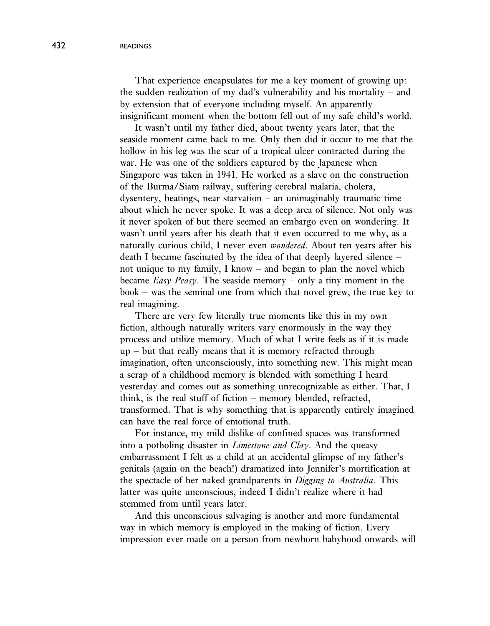That experience encapsulates for me a key moment of growing up: the sudden realization of my dad's vulnerability and his mortality – and by extension that of everyone including myself. An apparently insignificant moment when the bottom fell out of my safe child's world.

It wasn't until my father died, about twenty years later, that the seaside moment came back to me. Only then did it occur to me that the hollow in his leg was the scar of a tropical ulcer contracted during the war. He was one of the soldiers captured by the Japanese when Singapore was taken in 1941. He worked as a slave on the construction of the Burma/Siam railway, suffering cerebral malaria, cholera, dysentery, beatings, near starvation – an unimaginably traumatic time about which he never spoke. It was a deep area of silence. Not only was it never spoken of but there seemed an embargo even on wondering. It wasn't until years after his death that it even occurred to me why, as a naturally curious child, I never even wondered. About ten years after his death I became fascinated by the idea of that deeply layered silence – not unique to my family, I know – and began to plan the novel which became  $Easy$  Peasy. The seaside memory – only a tiny moment in the book – was the seminal one from which that novel grew, the true key to real imagining.

There are very few literally true moments like this in my own fiction, although naturally writers vary enormously in the way they process and utilize memory. Much of what I write feels as if it is made  $up$  – but that really means that it is memory refracted through imagination, often unconsciously, into something new. This might mean a scrap of a childhood memory is blended with something I heard yesterday and comes out as something unrecognizable as either. That, I think, is the real stuff of fiction – memory blended, refracted, transformed. That is why something that is apparently entirely imagined can have the real force of emotional truth.

For instance, my mild dislike of confined spaces was transformed into a potholing disaster in *Limestone and Clay*. And the queasy embarrassment I felt as a child at an accidental glimpse of my father's genitals (again on the beach!) dramatized into Jennifer's mortification at the spectacle of her naked grandparents in Digging to Australia. This latter was quite unconscious, indeed I didn't realize where it had stemmed from until years later.

And this unconscious salvaging is another and more fundamental way in which memory is employed in the making of fiction. Every impression ever made on a person from newborn babyhood onwards will